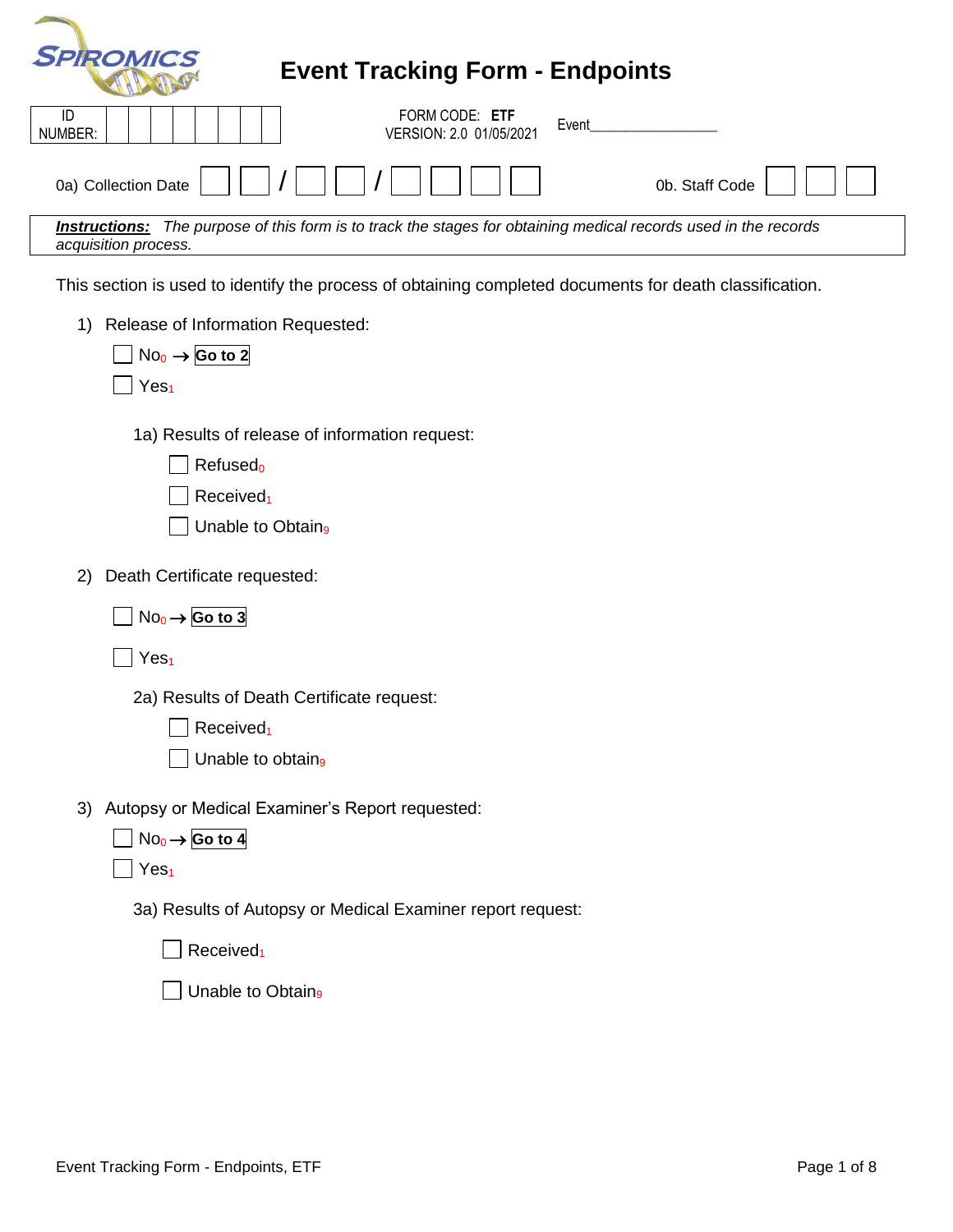| <b>SPIROMICS</b><br><b>Event Tracking Form - Endpoints</b>                                                                                     |
|------------------------------------------------------------------------------------------------------------------------------------------------|
| FORM CODE: ETF<br>ID<br>Event<br>NUMBER:<br>VERSION: 2.0 01/05/2021                                                                            |
| 0a) Collection Date<br>0b. Staff Code                                                                                                          |
| <b>Instructions:</b> The purpose of this form is to track the stages for obtaining medical records used in the records<br>acquisition process. |
| This section is used to identify the process of obtaining completed documents for death classification.                                        |
| Release of Information Requested:<br>1)<br>$No0 \rightarrow$ Go to 2<br>Yes <sub>1</sub>                                                       |
| 1a) Results of release of information request:<br>Refused <sub>o</sub><br>Received <sub>1</sub><br>Unable to Obtain <sub>9</sub>               |
| Death Certificate requested:<br>2)                                                                                                             |
| $No_0 \rightarrow \text{Go to 3}$                                                                                                              |
| Yes <sub>1</sub>                                                                                                                               |
| 2a) Results of Death Certificate request:                                                                                                      |
| Received <sub>1</sub>                                                                                                                          |
| Unable to obtain <sub>9</sub>                                                                                                                  |
| 3) Autopsy or Medical Examiner's Report requested:<br>$No_0 \rightarrow$ Go to 4                                                               |
| Yes <sub>1</sub>                                                                                                                               |
| 3a) Results of Autopsy or Medical Examiner report request:                                                                                     |
| Received <sub>1</sub>                                                                                                                          |

 $\Box$  Unable to Obtain<sub>9</sub>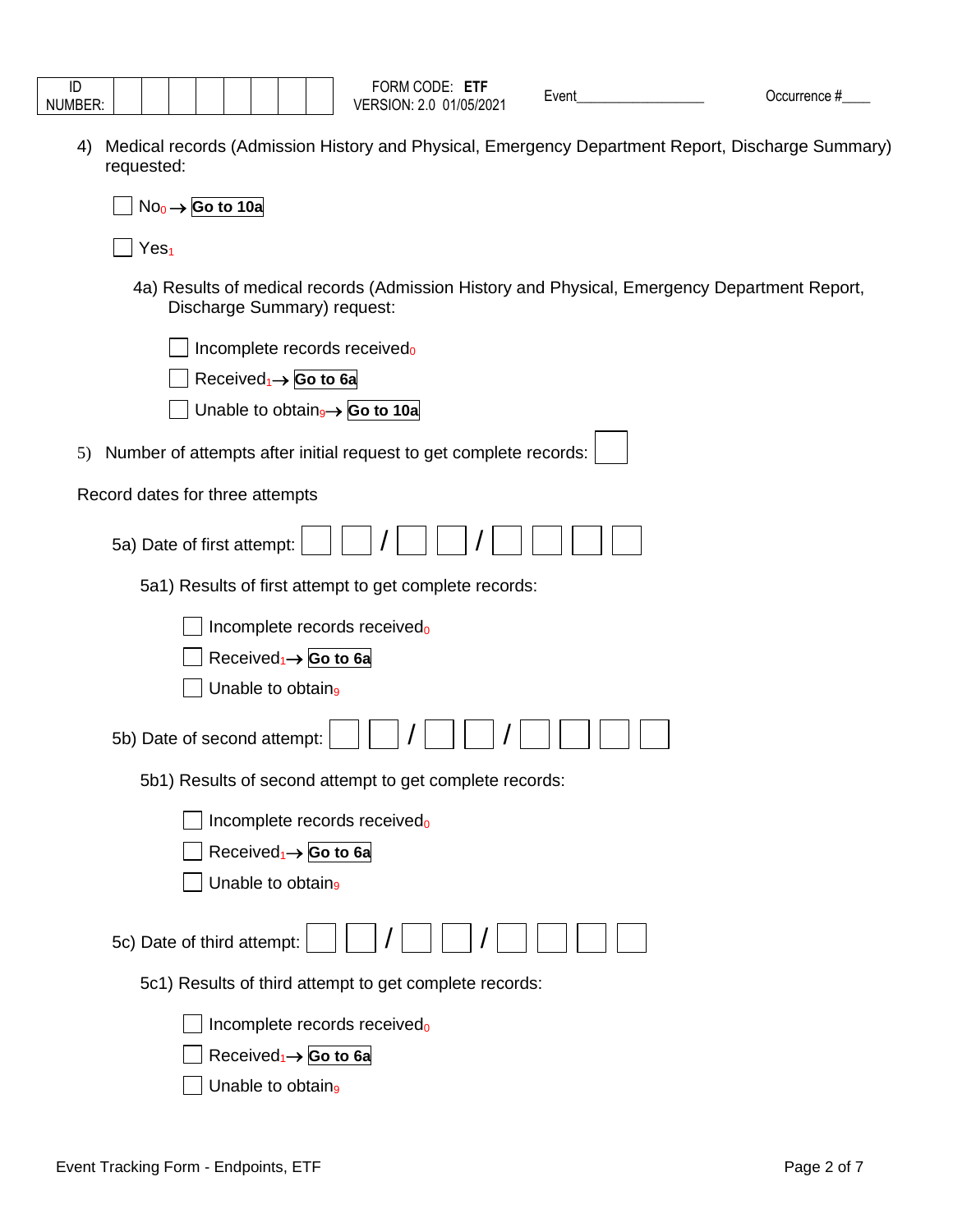| $\overline{\phantom{0}}$ |  |  |  |  |  |
|--------------------------|--|--|--|--|--|
| <b>MURADED</b>           |  |  |  |  |  |

4) Medical records (Admission History and Physical, Emergency Department Report, Discharge Summary) requested:

| $No0 \rightarrow$ Go to 10a                                                                                                 |
|-----------------------------------------------------------------------------------------------------------------------------|
| Yes <sub>1</sub>                                                                                                            |
| 4a) Results of medical records (Admission History and Physical, Emergency Department Report,<br>Discharge Summary) request: |
| Incomplete records received <sub>0</sub>                                                                                    |
| Received <sub>1</sub> $\rightarrow$ Go to 6a                                                                                |
| Unable to obtain <sub>9</sub> $\rightarrow$ Go to 10a                                                                       |
| 5) Number of attempts after initial request to get complete records:                                                        |
| Record dates for three attempts                                                                                             |
| 5a) Date of first attempt:                                                                                                  |
| 5a1) Results of first attempt to get complete records:                                                                      |
| Incomplete records receivedo                                                                                                |
| Received <sub>1</sub> $\rightarrow$ Go to 6a                                                                                |
| Unable to obtain <sub>9</sub>                                                                                               |
| 5b) Date of second attempt:                                                                                                 |
| 5b1) Results of second attempt to get complete records:                                                                     |
| Incomplete records received <sub>0</sub>                                                                                    |
| Received <sub>1</sub> → Go to 6a                                                                                            |
| Unable to obtain <sub>9</sub>                                                                                               |
| 5c) Date of third attempt:                                                                                                  |
| 5c1) Results of third attempt to get complete records:                                                                      |
| Incomplete records receivedo                                                                                                |
| Received <sub>1</sub> $\rightarrow$ Go to 6a                                                                                |
| Unable to obtain <sub>9</sub>                                                                                               |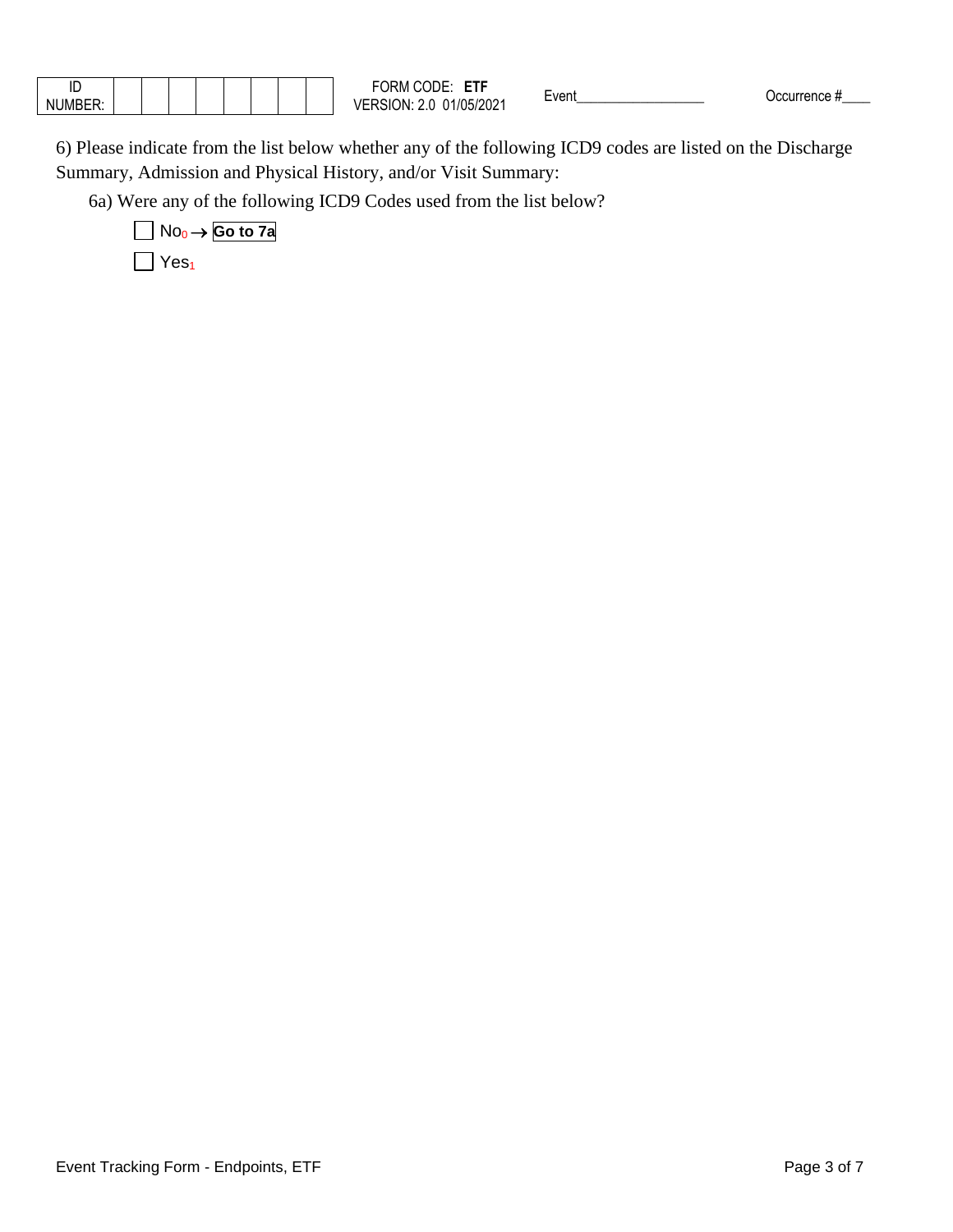| ID            |  |  |  |  | ---<br>CODE<br>$\sim$<br>۲۳.<br>'N/L | $\overline{\phantom{0}}$<br>Event | המו<br>™ence |
|---------------|--|--|--|--|--------------------------------------|-----------------------------------|--------------|
| <b>NUMBEI</b> |  |  |  |  | 1/05/2021<br>ำN⊡<br>SK.<br>. .       |                                   |              |

6) Please indicate from the list below whether any of the following ICD9 codes are listed on the Discharge Summary, Admission and Physical History, and/or Visit Summary:

6a) Were any of the following ICD9 Codes used from the list below?

$$
Mo0 → Go to 7a
$$
  
Yes<sub>1</sub>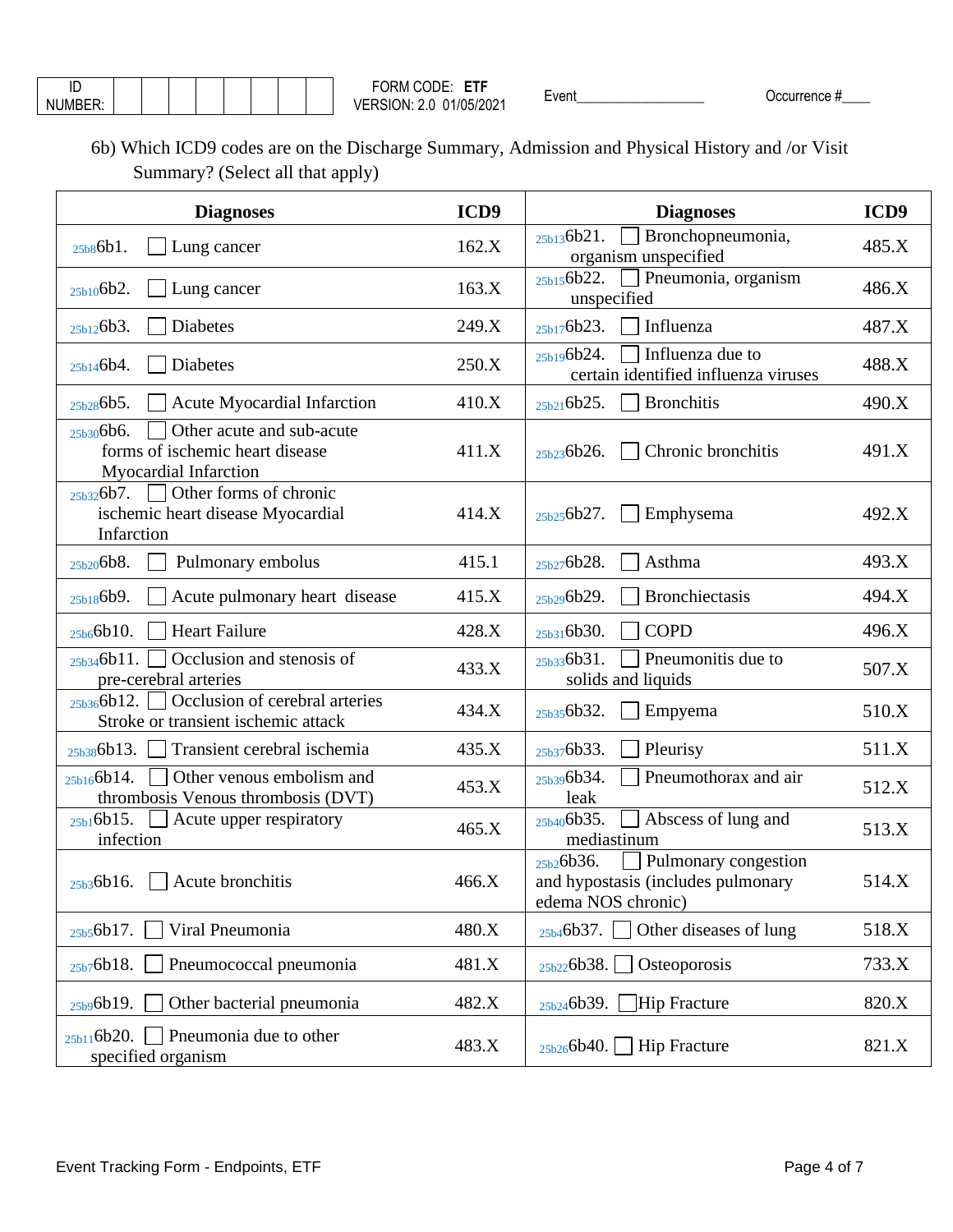| NUMBER: |  |  |  |  |
|---------|--|--|--|--|

6b) Which ICD9 codes are on the Discharge Summary, Admission and Physical History and /or Visit Summary? (Select all that apply)

| <b>Diagnoses</b>                                                                                   | ICD9  | <b>Diagnoses</b>                                                                              | ICD9  |
|----------------------------------------------------------------------------------------------------|-------|-----------------------------------------------------------------------------------------------|-------|
| Lung cancer<br>25b86b1.                                                                            | 162.X | Bronchopneumonia,<br>25b136b21.<br>organism unspecified                                       | 485.X |
| 25b106b2.<br>Lung cancer                                                                           | 163.X | $_{25b15}$ 6b22. $\Box$ Pneumonia, organism<br>unspecified                                    | 486.X |
| Diabetes<br>25b126b3.                                                                              | 249.X | $\Box$ Influenza<br>25b176b23.                                                                | 487.X |
| Diabetes<br>25b146b4.                                                                              | 250.X | Influenza due to<br>25b196b24.<br>certain identified influenza viruses                        | 488.X |
| 25b286b5.<br><b>Acute Myocardial Infarction</b>                                                    | 410.X | $\Box$ Bronchitis<br>25b216b25.                                                               | 490.X |
| Other acute and sub-acute<br>25b306b6.<br>forms of ischemic heart disease<br>Myocardial Infarction | 411.X | Chronic bronchitis<br>25b236b26.                                                              | 491.X |
| Other forms of chronic<br>25b326b7.<br>ischemic heart disease Myocardial<br>Infarction             | 414.X | $\Box$ Emphysema<br>25b256b27.                                                                | 492.X |
| Pulmonary embolus<br>25b206b8.                                                                     | 415.1 | Asthma<br>25b276b28.                                                                          | 493.X |
| Acute pulmonary heart disease<br>25b186b9.                                                         | 415.X | <b>Bronchiectasis</b><br>25b296b29.                                                           | 494.X |
| Heart Failure<br>25b66b10.                                                                         | 428.X | <b>COPD</b><br>25b316b30.                                                                     | 496.X |
| Coclusion and stenosis of<br>25b346b11.<br>pre-cerebral arteries                                   | 433.X | $\Box$ Pneumonitis due to<br>25b336b31.<br>solids and liquids                                 | 507.X |
| Occlusion of cerebral arteries<br>25b366b12.<br>Stroke or transient ischemic attack                | 434.X | $\Box$ Empyema<br>25b356b32.                                                                  | 510.X |
| $_{25b38}$ 6b13. Transient cerebral ischemia                                                       | 435.X | Pleurisy<br>25b376b33.                                                                        | 511.X |
| 25b166b14.<br>Other venous embolism and<br>thrombosis Venous thrombosis (DVT)                      | 453.X | Pneumothorax and air<br>25b396b34.<br>leak                                                    | 512.X |
| $_{25b1}6b15.$<br>Acute upper respiratory<br>infection                                             | 465.X | 25b406b35.<br>Abscess of lung and<br>mediastinum                                              | 513.X |
| $25b36b16.$ Acute bronchitis                                                                       | 466.X | 25b26b36.<br>Pulmonary congestion<br>and hypostasis (includes pulmonary<br>edema NOS chronic) | 514.X |
| Viral Pneumonia<br>25b56b17.                                                                       | 480.X | Other diseases of lung<br>25b46b37.                                                           | 518.X |
| Pneumococcal pneumonia<br>25b76b18.                                                                | 481.X | Osteoporosis<br>25b226b38.                                                                    | 733.X |
| Other bacterial pneumonia<br>25b96b19.                                                             | 482.X | Hip Fracture<br>25b246b39.                                                                    | 820.X |
| Pneumonia due to other<br>25b116b20.<br>specified organism                                         | 483.X | $\Box$ Hip Fracture<br>25b266b40.                                                             | 821.X |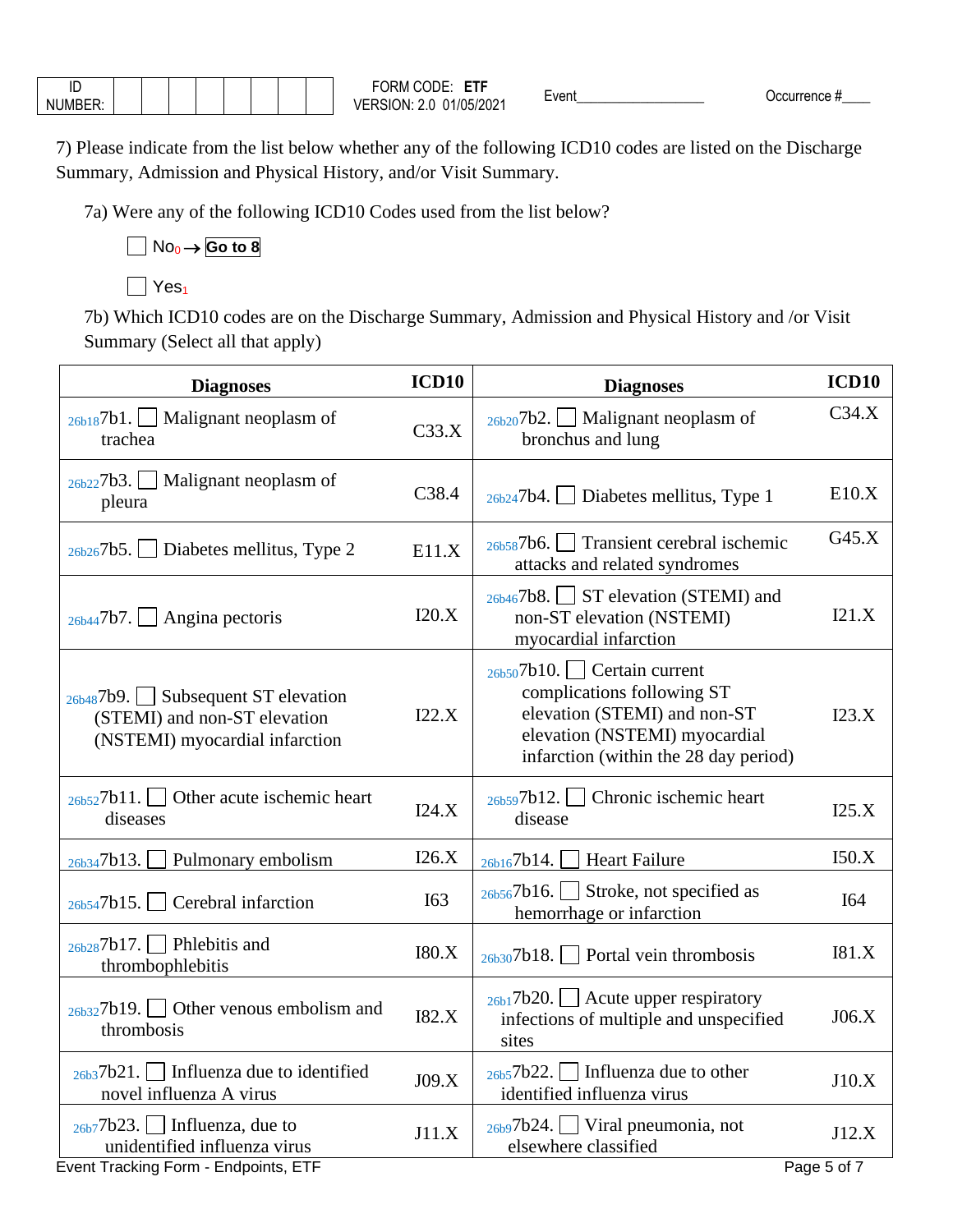| $\cdots$<br>$ \sim$<br>. . <b>.</b> |  |  |  |  |
|-------------------------------------|--|--|--|--|

7) Please indicate from the list below whether any of the following ICD10 codes are listed on the Discharge Summary, Admission and Physical History, and/or Visit Summary.

7a) Were any of the following ICD10 Codes used from the list below?

## No<sup>0</sup> → **Go to 8**

## $\Box$  Yes<sub>1</sub>

7b) Which ICD10 codes are on the Discharge Summary, Admission and Physical History and /or Visit Summary (Select all that apply)

| <b>Diagnoses</b>                                                                                          | ICD <sub>10</sub> | <b>Diagnoses</b>                                                                                                                                                     | ICD <sub>10</sub> |
|-----------------------------------------------------------------------------------------------------------|-------------------|----------------------------------------------------------------------------------------------------------------------------------------------------------------------|-------------------|
| Malignant neoplasm of<br>26b187b1.<br>trachea                                                             | C33.X             | $_{26b20}$ 7b2. Malignant neoplasm of<br>bronchus and lung                                                                                                           | C34.X             |
| 26b227b3.<br>Malignant neoplasm of<br>pleura                                                              | C38.4             | $_{26b24}$ 7b4.<br>Diabetes mellitus, Type 1                                                                                                                         | E10.X             |
| 26b267b5.<br>Diabetes mellitus, Type 2                                                                    | E11.X             | 26b587b6. Transient cerebral ischemic<br>attacks and related syndromes                                                                                               | G45.X             |
| Angina pectoris<br>26b447b7.                                                                              | I20.X             | $_{26b46}$ 7b8. ST elevation (STEMI) and<br>non-ST elevation (NSTEMI)<br>myocardial infarction                                                                       | I21.X             |
| $_{26b48}$ 7b9. Subsequent ST elevation<br>(STEMI) and non-ST elevation<br>(NSTEMI) myocardial infarction | I22.X             | $26b507b10.$ Certain current<br>complications following ST<br>elevation (STEMI) and non-ST<br>elevation (NSTEMI) myocardial<br>infarction (within the 28 day period) | I23.X             |
| $_{26b52}$ 7b11.   Other acute ischemic heart<br>diseases                                                 | I24.X             | Chronic ischemic heart<br>26b597b12.<br>disease                                                                                                                      | I25.X             |
| Pulmonary embolism<br>26b347b13.                                                                          | I26.X             | <b>Heart Failure</b><br>26b167b14.                                                                                                                                   | I50.X             |
| $_{26b54}$ 7b15. Cerebral infarction                                                                      | <b>I63</b>        | $_{26b56}$ 7b16. Stroke, not specified as<br>hemorrhage or infarction                                                                                                | <b>I64</b>        |
| $_{26b28}$ 7b17. Phlebitis and<br>thrombophlebitis                                                        | I80.X             | $_{26b30}$ 7b18. Portal vein thrombosis                                                                                                                              | I81.X             |
| $_{26b32}$ 7b19. Other venous embolism and<br>thrombosis                                                  | <b>I82.X</b>      | $_{26b1}$ 7b20. $\Box$ Acute upper respiratory<br>infections of multiple and unspecified<br>sites                                                                    | J06.X             |
| $_{26b3}$ 7b21.   Influenza due to identified<br>novel influenza A virus                                  | J09.X             | $_{26b5}$ 7b22. Influenza due to other<br>identified influenza virus                                                                                                 | J10.X             |
| $_{26b7}$ 7b23. Influenza, due to<br>unidentified influenza virus                                         | J11.X             | $_{26b9}$ 7b24.   Viral pneumonia, not<br>elsewhere classified                                                                                                       | J12.X             |
| Event Tracking Form - Endpoints, ETF                                                                      |                   |                                                                                                                                                                      | Page 5 of 7       |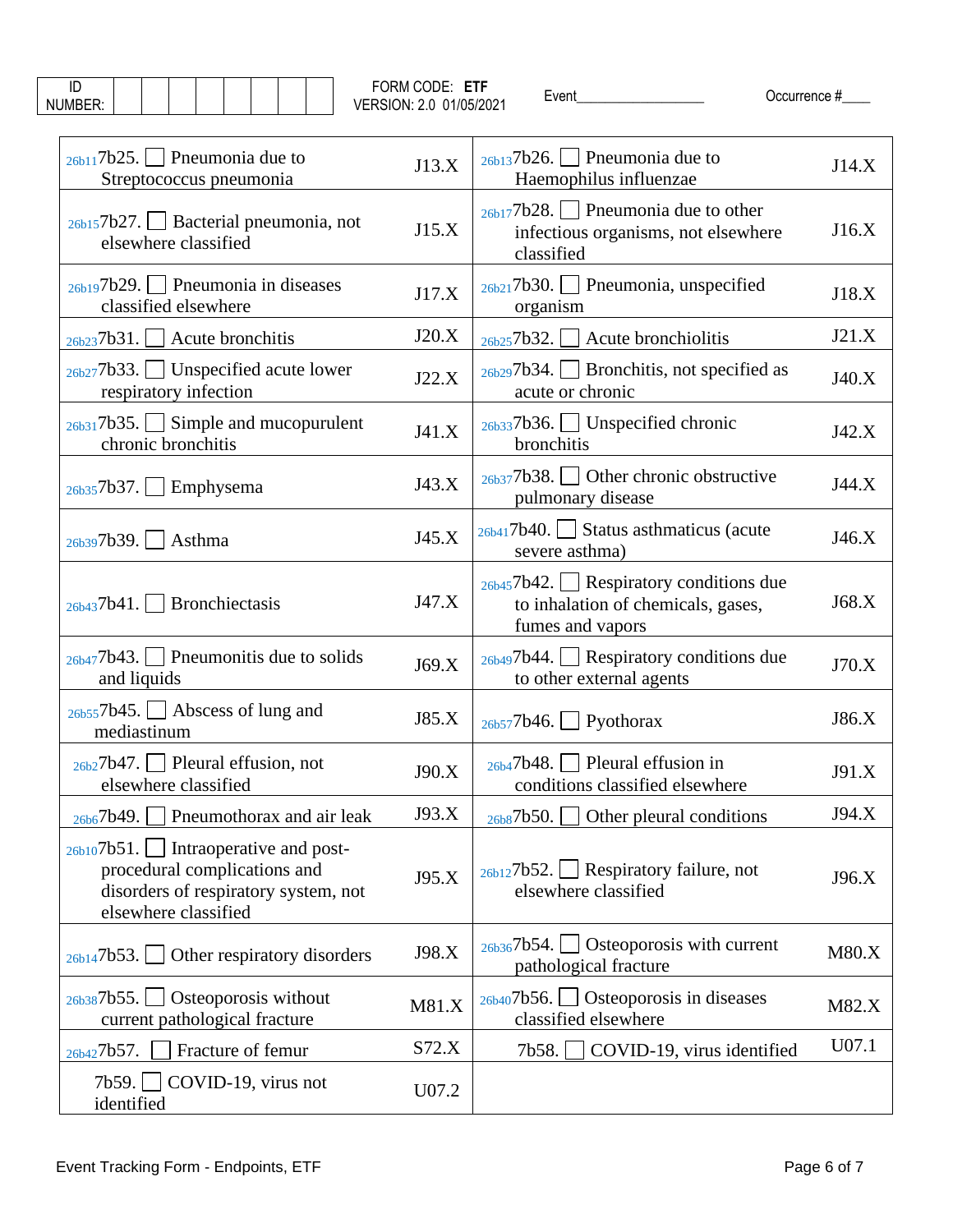| ID<br>NUMBER:                                                                                                                             | FORM CODE: ETF<br>VERSION: 2.0 01/05/2021 | Occurrence #<br>Event                                                                                        |       |
|-------------------------------------------------------------------------------------------------------------------------------------------|-------------------------------------------|--------------------------------------------------------------------------------------------------------------|-------|
| $_{26b11}$ 7b25. Pneumonia due to<br>Streptococcus pneumonia                                                                              | J13.X                                     | $26b137b26.$   Pneumonia due to<br>Haemophilus influenzae                                                    | J14.X |
| $_{26b15}$ 7b27. Sacterial pneumonia, not<br>elsewhere classified                                                                         | J15.X                                     | $_{26b17}$ 7b28.   Pneumonia due to other<br>infectious organisms, not elsewhere<br>classified               | J16.X |
| $_{26b19}$ 7b29.   Pneumonia in diseases<br>classified elsewhere                                                                          | J17.X                                     | $_{26b21}$ 7b30.   Pneumonia, unspecified<br>organism                                                        | J18.X |
| $_{26b23}$ 7b31. Acute bronchitis                                                                                                         | J20.X                                     | $\Box$ Acute bronchiolitis<br>$_{26b25}$ 7b32.                                                               | J21.X |
| $_{26b27}$ 7b33. Unspecified acute lower<br>respiratory infection                                                                         | J22.X                                     | $_{26b29}$ 7b34. Sronchitis, not specified as<br>acute or chronic                                            | J40.X |
| $_{26b31}$ 7b35. Simple and mucopurulent<br>chronic bronchitis                                                                            | J41.X                                     | $_{26b33}$ 7b36. Unspecified chronic<br>bronchitis                                                           | J42.X |
| 26b357b37.<br>Emphysema                                                                                                                   | J43.X                                     | $_{26b37}$ 7b38. Other chronic obstructive<br>pulmonary disease                                              | J44.X |
| $_{26b39}$ 7b39. Asthma                                                                                                                   | J45.X                                     | $_{26b41}$ 7b40. Status asthmaticus (acute<br>severe asthma)                                                 | J46.X |
| Bronchiectasis<br>26b437b41.                                                                                                              | J47.X                                     | $_{26b45}$ 7b42. $\Box$ Respiratory conditions due<br>to inhalation of chemicals, gases,<br>fumes and vapors | J68.X |
| $_{26b47}$ 7b43. Pneumonitis due to solids<br>and liquids                                                                                 | J69.X                                     | $_{26b49}$ 7b44. Respiratory conditions due<br>to other external agents                                      | J70.X |
| $_{26b55}$ 7b45. $\Box$ Abscess of lung and<br>mediastinum                                                                                | J85.X                                     | $_{26b57}$ 7b46. Pyothorax                                                                                   | J86.X |
| $_{26b2}$ 7b47.   Pleural effusion, not<br>elsewhere classified                                                                           | J90.X                                     | $_{26b4}$ 7b48. Pleural effusion in<br>conditions classified elsewhere                                       | J91.X |
| 26b67b49.<br>Pneumothorax and air leak                                                                                                    | J93.X                                     | 26b87b50.<br>Other pleural conditions                                                                        | J94.X |
| $_{26b10}$ 7b51. Intraoperative and post-<br>procedural complications and<br>disorders of respiratory system, not<br>elsewhere classified | J95.X                                     | $_{26b12}$ 7b52. $\Box$ Respiratory failure, not<br>elsewhere classified                                     | J96.X |
| Other respiratory disorders<br>26b147b53.                                                                                                 | J98.X                                     | Osteoporosis with current<br>26b367b54.<br>pathological fracture                                             | M80.X |
| $_{26b38}$ 7b55. $\Box$ Osteoporosis without<br>current pathological fracture                                                             | M81.X                                     | $_{26b40}$ 7b56. $\Box$ Osteoporosis in diseases<br>classified elsewhere                                     | M82.X |
| Fracture of femur<br>26b427b57.                                                                                                           | S72.X                                     | COVID-19, virus identified<br>7b58.                                                                          | U07.1 |
| 7b59. $\Box$ COVID-19, virus not<br>identified                                                                                            | U07.2                                     |                                                                                                              |       |